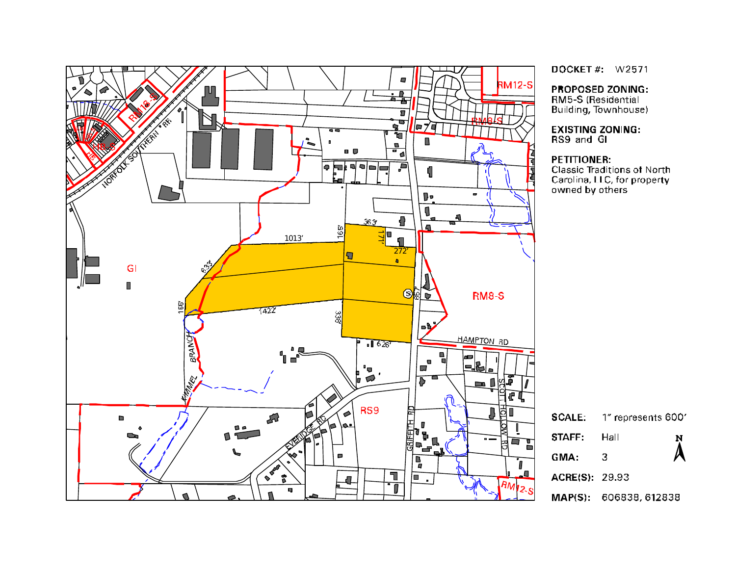

DOCKET#: W2571

**PROPOSED ZONING:** 

RM5-S (Residential<br>Building, Townhouse)

**EXISTING ZONING:**<br>RS9 and GI

#### **PETITIONER:**

Classic Traditions of North Carolina, LLC, for property owned by others

| <b>SCALE:</b>  | 1" represents 600"            |           |  |  |
|----------------|-------------------------------|-----------|--|--|
| <b>STAFF</b> T | Hall                          | N         |  |  |
| GMA:           | З                             | $\lambda$ |  |  |
| ACRE(S): 29.93 |                               |           |  |  |
|                | <b>MAP(S):</b> 606838, 612838 |           |  |  |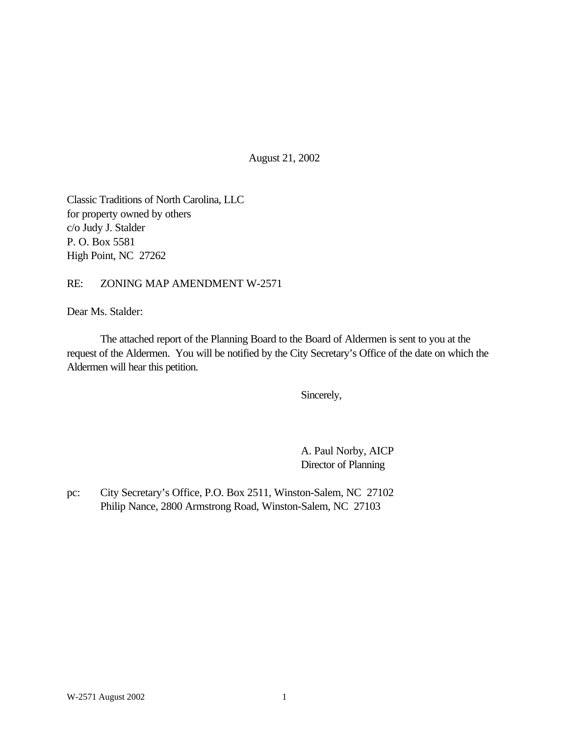August 21, 2002

Classic Traditions of North Carolina, LLC for property owned by others c/o Judy J. Stalder P. O. Box 5581 High Point, NC 27262

RE: ZONING MAP AMENDMENT W-2571

Dear Ms. Stalder:

The attached report of the Planning Board to the Board of Aldermen is sent to you at the request of the Aldermen. You will be notified by the City Secretary's Office of the date on which the Aldermen will hear this petition.

Sincerely,

A. Paul Norby, AICP Director of Planning

pc: City Secretary's Office, P.O. Box 2511, Winston-Salem, NC 27102 Philip Nance, 2800 Armstrong Road, Winston-Salem, NC 27103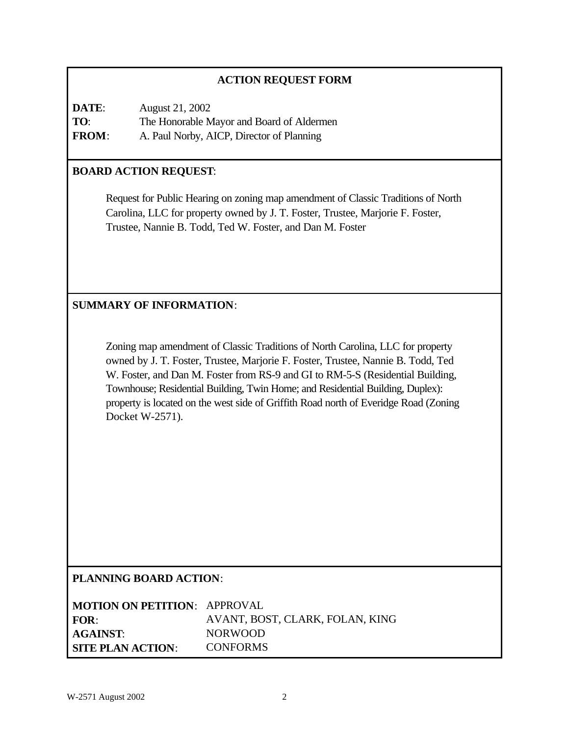## **ACTION REQUEST FORM**

| DATE:        | August 21, 2002                           |
|--------------|-------------------------------------------|
| TO:          | The Honorable Mayor and Board of Aldermen |
| <b>FROM:</b> | A. Paul Norby, AICP, Director of Planning |

### **BOARD ACTION REQUEST**:

Request for Public Hearing on zoning map amendment of Classic Traditions of North Carolina, LLC for property owned by J. T. Foster, Trustee, Marjorie F. Foster, Trustee, Nannie B. Todd, Ted W. Foster, and Dan M. Foster

### **SUMMARY OF INFORMATION**:

Zoning map amendment of Classic Traditions of North Carolina, LLC for property owned by J. T. Foster, Trustee, Marjorie F. Foster, Trustee, Nannie B. Todd, Ted W. Foster, and Dan M. Foster from RS-9 and GI to RM-5-S (Residential Building, Townhouse; Residential Building, Twin Home; and Residential Building, Duplex): property is located on the west side of Griffith Road north of Everidge Road (Zoning Docket W-2571).

### **PLANNING BOARD ACTION**:

| <b>MOTION ON PETITION: APPROVAL</b> |                                 |
|-------------------------------------|---------------------------------|
| FOR:                                | AVANT, BOST, CLARK, FOLAN, KING |
| <b>AGAINST:</b>                     | <b>NORWOOD</b>                  |
| <b>SITE PLAN ACTION:</b>            | <b>CONFORMS</b>                 |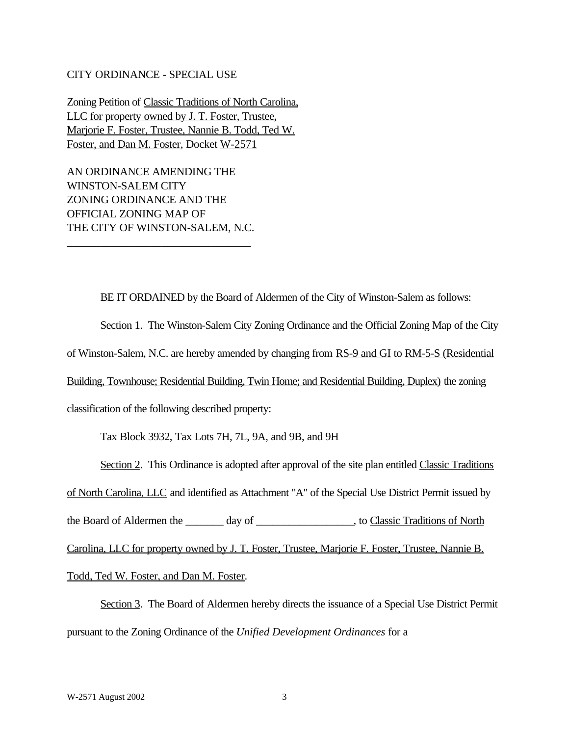#### CITY ORDINANCE - SPECIAL USE

Zoning Petition of Classic Traditions of North Carolina, LLC for property owned by J. T. Foster, Trustee, Marjorie F. Foster, Trustee, Nannie B. Todd, Ted W. Foster, and Dan M. Foster, Docket W-2571

AN ORDINANCE AMENDING THE WINSTON-SALEM CITY ZONING ORDINANCE AND THE OFFICIAL ZONING MAP OF THE CITY OF WINSTON-SALEM, N.C.

\_\_\_\_\_\_\_\_\_\_\_\_\_\_\_\_\_\_\_\_\_\_\_\_\_\_\_\_\_\_\_\_\_

BE IT ORDAINED by the Board of Aldermen of the City of Winston-Salem as follows:

Section 1. The Winston-Salem City Zoning Ordinance and the Official Zoning Map of the City of Winston-Salem, N.C. are hereby amended by changing from RS-9 and GI to RM-5-S (Residential Building, Townhouse; Residential Building, Twin Home; and Residential Building, Duplex) the zoning classification of the following described property:

Tax Block 3932, Tax Lots 7H, 7L, 9A, and 9B, and 9H

Section 2. This Ordinance is adopted after approval of the site plan entitled Classic Traditions

of North Carolina, LLC and identified as Attachment "A" of the Special Use District Permit issued by

the Board of Aldermen the \_\_\_\_\_\_\_ day of \_\_\_\_\_\_\_\_\_\_\_\_\_\_\_, to Classic Traditions of North

Carolina, LLC for property owned by J. T. Foster, Trustee, Marjorie F. Foster, Trustee, Nannie B.

Todd, Ted W. Foster, and Dan M. Foster.

Section 3. The Board of Aldermen hereby directs the issuance of a Special Use District Permit pursuant to the Zoning Ordinance of the *Unified Development Ordinances* for a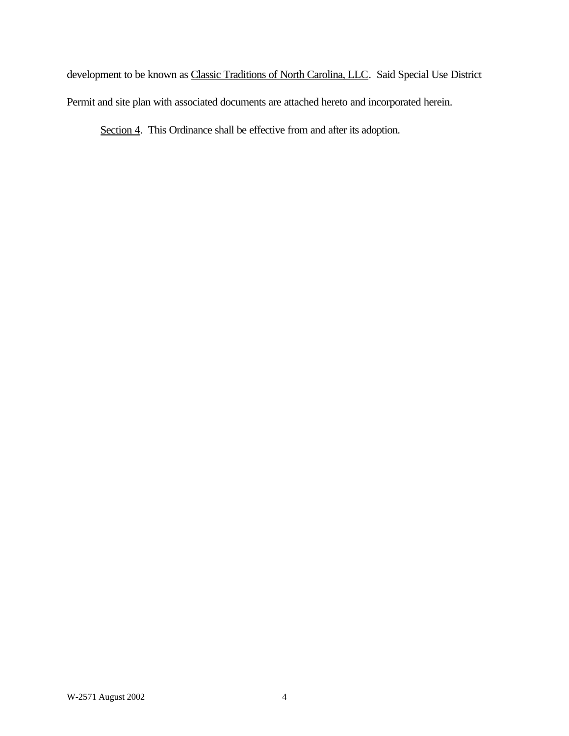development to be known as Classic Traditions of North Carolina, LLC. Said Special Use District Permit and site plan with associated documents are attached hereto and incorporated herein.

Section 4. This Ordinance shall be effective from and after its adoption.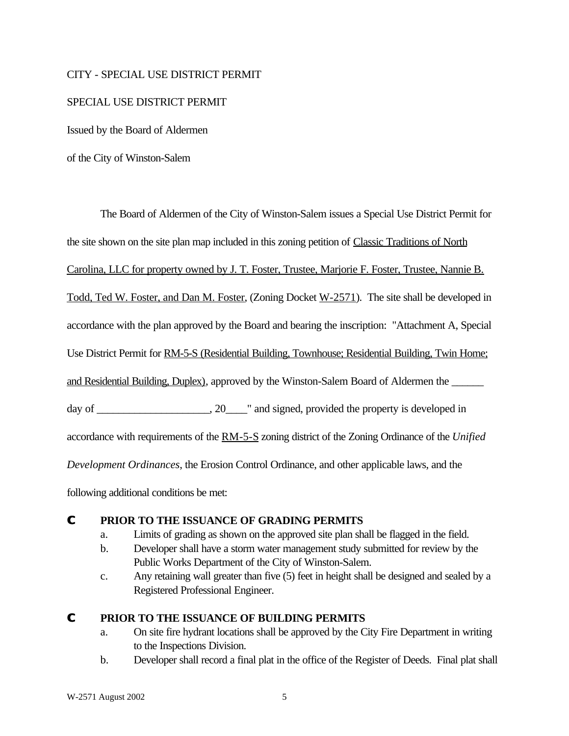#### CITY - SPECIAL USE DISTRICT PERMIT

#### SPECIAL USE DISTRICT PERMIT

Issued by the Board of Aldermen

of the City of Winston-Salem

The Board of Aldermen of the City of Winston-Salem issues a Special Use District Permit for the site shown on the site plan map included in this zoning petition of Classic Traditions of North Carolina, LLC for property owned by J. T. Foster, Trustee, Marjorie F. Foster, Trustee, Nannie B. Todd, Ted W. Foster, and Dan M. Foster, (Zoning Docket W-2571). The site shall be developed in accordance with the plan approved by the Board and bearing the inscription: "Attachment A, Special Use District Permit for RM-5-S (Residential Building, Townhouse; Residential Building, Twin Home; and Residential Building, Duplex), approved by the Winston-Salem Board of Aldermen the day of \_\_\_\_\_\_\_\_\_\_\_\_\_\_\_\_\_, 20\_\_\_\_" and signed, provided the property is developed in accordance with requirements of the RM-5-S zoning district of the Zoning Ordinance of the *Unified Development Ordinances*, the Erosion Control Ordinance, and other applicable laws, and the

following additional conditions be met:

### **C PRIOR TO THE ISSUANCE OF GRADING PERMITS**

- a. Limits of grading as shown on the approved site plan shall be flagged in the field.
- b. Developer shall have a storm water management study submitted for review by the Public Works Department of the City of Winston-Salem.
- c. Any retaining wall greater than five (5) feet in height shall be designed and sealed by a Registered Professional Engineer.

### **C PRIOR TO THE ISSUANCE OF BUILDING PERMITS**

- a. On site fire hydrant locations shall be approved by the City Fire Department in writing to the Inspections Division.
- b. Developer shall record a final plat in the office of the Register of Deeds. Final plat shall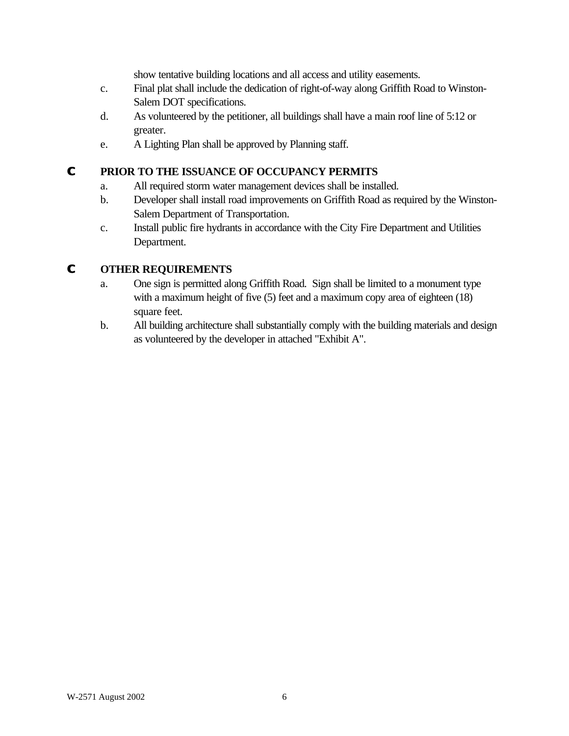show tentative building locations and all access and utility easements.

- c. Final plat shall include the dedication of right-of-way along Griffith Road to Winston-Salem DOT specifications.
- d. As volunteered by the petitioner, all buildings shall have a main roof line of 5:12 or greater.
- e. A Lighting Plan shall be approved by Planning staff.

## **C PRIOR TO THE ISSUANCE OF OCCUPANCY PERMITS**

- a. All required storm water management devices shall be installed.
- b. Developer shall install road improvements on Griffith Road as required by the Winston-Salem Department of Transportation.
- c. Install public fire hydrants in accordance with the City Fire Department and Utilities Department.

## **C OTHER REQUIREMENTS**

- a. One sign is permitted along Griffith Road. Sign shall be limited to a monument type with a maximum height of five (5) feet and a maximum copy area of eighteen (18) square feet.
- b. All building architecture shall substantially comply with the building materials and design as volunteered by the developer in attached "Exhibit A".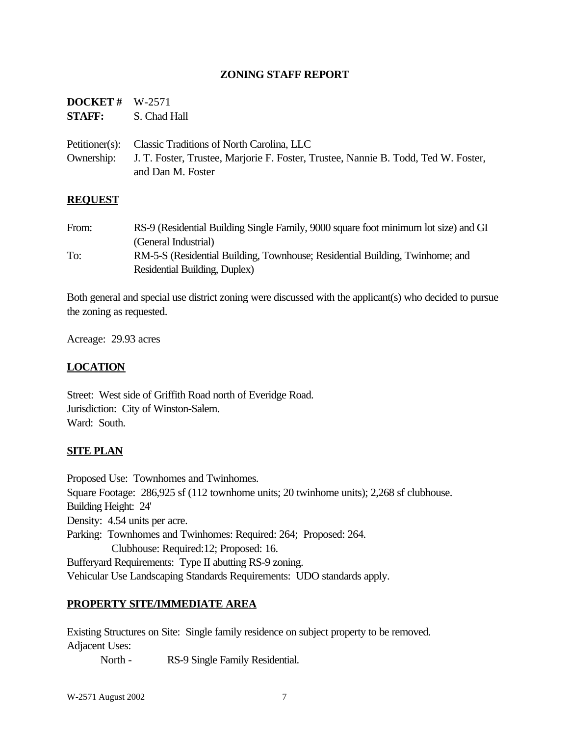### **ZONING STAFF REPORT**

| <b>DOCKET</b> # $W-2571$ |                                                                                               |
|--------------------------|-----------------------------------------------------------------------------------------------|
|                          | <b>STAFF:</b> S. Chad Hall                                                                    |
|                          | Petitioner(s): Classic Traditions of North Carolina, LLC                                      |
|                          | Ownership: J. T. Foster, Trustee, Marjorie F. Foster, Trustee, Nannie B. Todd, Ted W. Foster, |
|                          | and Dan M. Foster                                                                             |

#### **REQUEST**

From: RS-9 (Residential Building Single Family, 9000 square foot minimum lot size) and GI (General Industrial) To: RM-5-S (Residential Building, Townhouse; Residential Building, Twinhome; and Residential Building, Duplex)

Both general and special use district zoning were discussed with the applicant(s) who decided to pursue the zoning as requested.

Acreage: 29.93 acres

### **LOCATION**

Street: West side of Griffith Road north of Everidge Road. Jurisdiction: City of Winston-Salem. Ward: South.

### **SITE PLAN**

Proposed Use: Townhomes and Twinhomes. Square Footage: 286,925 sf (112 townhome units; 20 twinhome units); 2,268 sf clubhouse. Building Height: 24' Density: 4.54 units per acre. Parking: Townhomes and Twinhomes: Required: 264; Proposed: 264. Clubhouse: Required:12; Proposed: 16. Bufferyard Requirements: Type II abutting RS-9 zoning. Vehicular Use Landscaping Standards Requirements: UDO standards apply.

### **PROPERTY SITE/IMMEDIATE AREA**

Existing Structures on Site: Single family residence on subject property to be removed. Adjacent Uses:

North - RS-9 Single Family Residential.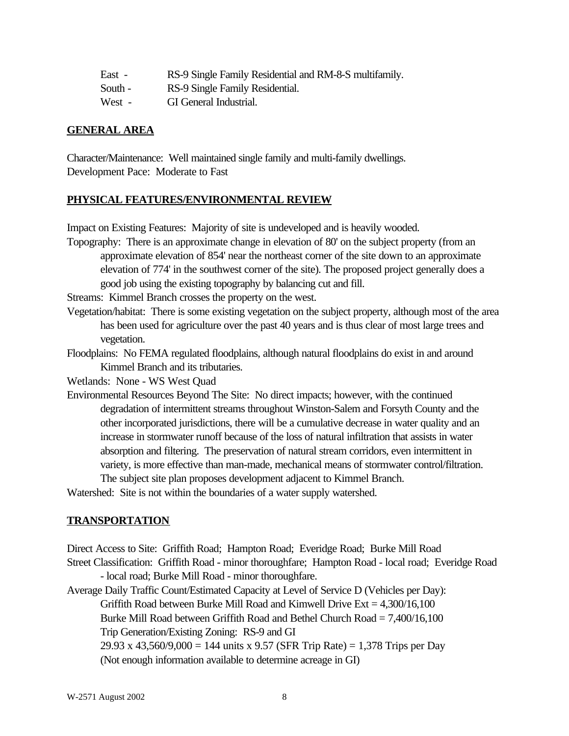| RS-9 Single Family Residential and RM-8-S multifamily.<br>East - |  |
|------------------------------------------------------------------|--|
|------------------------------------------------------------------|--|

- South RS-9 Single Family Residential.
- West GI General Industrial.

## **GENERAL AREA**

Character/Maintenance: Well maintained single family and multi-family dwellings. Development Pace: Moderate to Fast

## **PHYSICAL FEATURES/ENVIRONMENTAL REVIEW**

Impact on Existing Features: Majority of site is undeveloped and is heavily wooded.

Topography: There is an approximate change in elevation of 80' on the subject property (from an approximate elevation of 854' near the northeast corner of the site down to an approximate elevation of 774' in the southwest corner of the site). The proposed project generally does a good job using the existing topography by balancing cut and fill.

Streams: Kimmel Branch crosses the property on the west.

- Vegetation/habitat: There is some existing vegetation on the subject property, although most of the area has been used for agriculture over the past 40 years and is thus clear of most large trees and vegetation.
- Floodplains: No FEMA regulated floodplains, although natural floodplains do exist in and around Kimmel Branch and its tributaries.

Wetlands: None - WS West Quad

Environmental Resources Beyond The Site: No direct impacts; however, with the continued degradation of intermittent streams throughout Winston-Salem and Forsyth County and the other incorporated jurisdictions, there will be a cumulative decrease in water quality and an increase in stormwater runoff because of the loss of natural infiltration that assists in water absorption and filtering. The preservation of natural stream corridors, even intermittent in variety, is more effective than man-made, mechanical means of stormwater control/filtration. The subject site plan proposes development adjacent to Kimmel Branch.

Watershed: Site is not within the boundaries of a water supply watershed.

## **TRANSPORTATION**

Direct Access to Site: Griffith Road; Hampton Road; Everidge Road; Burke Mill Road Street Classification: Griffith Road - minor thoroughfare; Hampton Road - local road; Everidge Road

- local road; Burke Mill Road - minor thoroughfare. Average Daily Traffic Count/Estimated Capacity at Level of Service D (Vehicles per Day): Griffith Road between Burke Mill Road and Kimwell Drive  $Ext = 4,300/16,100$ Burke Mill Road between Griffith Road and Bethel Church Road = 7,400/16,100 Trip Generation/Existing Zoning: RS-9 and GI 29.93 x 43,560/9,000 = 144 units x 9.57 (SFR Trip Rate) = 1,378 Trips per Day

(Not enough information available to determine acreage in GI)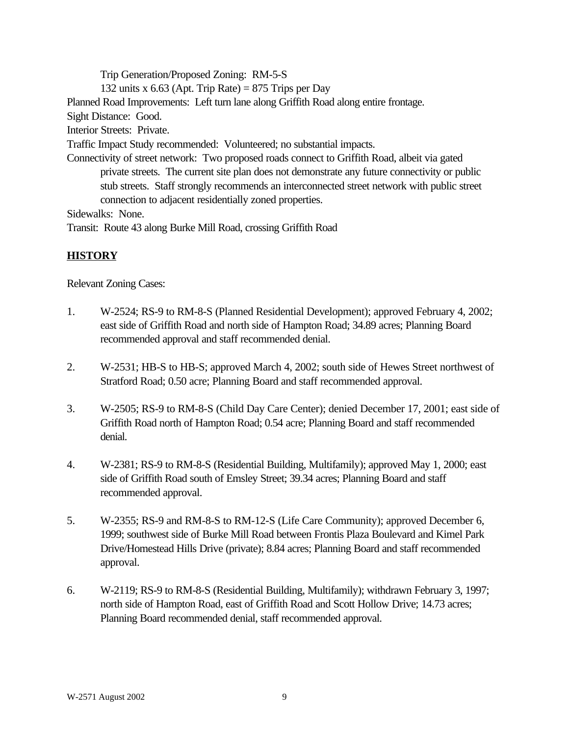Trip Generation/Proposed Zoning: RM-5-S 132 units x 6.63 (Apt. Trip Rate) = 875 Trips per Day Planned Road Improvements: Left turn lane along Griffith Road along entire frontage. Sight Distance: Good. Interior Streets: Private. Traffic Impact Study recommended: Volunteered; no substantial impacts. Connectivity of street network: Two proposed roads connect to Griffith Road, albeit via gated private streets. The current site plan does not demonstrate any future connectivity or public stub streets. Staff strongly recommends an interconnected street network with public street connection to adjacent residentially zoned properties. Sidewalks: None.

Transit: Route 43 along Burke Mill Road, crossing Griffith Road

# **HISTORY**

Relevant Zoning Cases:

- 1. W-2524; RS-9 to RM-8-S (Planned Residential Development); approved February 4, 2002; east side of Griffith Road and north side of Hampton Road; 34.89 acres; Planning Board recommended approval and staff recommended denial.
- 2. W-2531; HB-S to HB-S; approved March 4, 2002; south side of Hewes Street northwest of Stratford Road; 0.50 acre; Planning Board and staff recommended approval.
- 3. W-2505; RS-9 to RM-8-S (Child Day Care Center); denied December 17, 2001; east side of Griffith Road north of Hampton Road; 0.54 acre; Planning Board and staff recommended denial.
- 4. W-2381; RS-9 to RM-8-S (Residential Building, Multifamily); approved May 1, 2000; east side of Griffith Road south of Emsley Street; 39.34 acres; Planning Board and staff recommended approval.
- 5. W-2355; RS-9 and RM-8-S to RM-12-S (Life Care Community); approved December 6, 1999; southwest side of Burke Mill Road between Frontis Plaza Boulevard and Kimel Park Drive/Homestead Hills Drive (private); 8.84 acres; Planning Board and staff recommended approval.
- 6. W-2119; RS-9 to RM-8-S (Residential Building, Multifamily); withdrawn February 3, 1997; north side of Hampton Road, east of Griffith Road and Scott Hollow Drive; 14.73 acres; Planning Board recommended denial, staff recommended approval.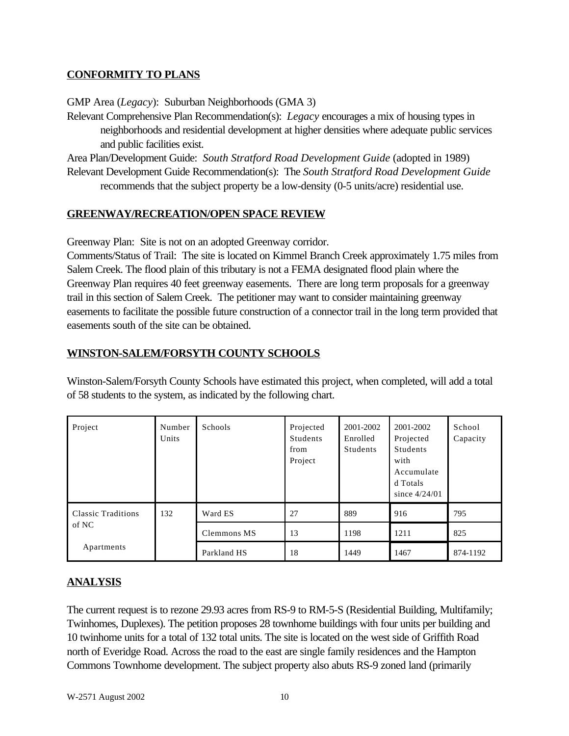## **CONFORMITY TO PLANS**

GMP Area (*Legacy*): Suburban Neighborhoods (GMA 3)

Relevant Comprehensive Plan Recommendation(s): *Legacy* encourages a mix of housing types in neighborhoods and residential development at higher densities where adequate public services and public facilities exist.

Area Plan/Development Guide: *South Stratford Road Development Guide* (adopted in 1989) Relevant Development Guide Recommendation(s): The *South Stratford Road Development Guide* recommends that the subject property be a low-density (0-5 units/acre) residential use.

## **GREENWAY/RECREATION/OPEN SPACE REVIEW**

Greenway Plan: Site is not on an adopted Greenway corridor.

Comments/Status of Trail: The site is located on Kimmel Branch Creek approximately 1.75 miles from Salem Creek. The flood plain of this tributary is not a FEMA designated flood plain where the Greenway Plan requires 40 feet greenway easements. There are long term proposals for a greenway trail in this section of Salem Creek. The petitioner may want to consider maintaining greenway easements to facilitate the possible future construction of a connector trail in the long term provided that easements south of the site can be obtained.

## **WINSTON-SALEM/FORSYTH COUNTY SCHOOLS**

| Project                            | Number<br>Units | Schools     | Projected<br><b>Students</b><br>from<br>Project | 2001-2002<br>Enrolled<br><b>Students</b> | 2001-2002<br>Projected<br><b>Students</b><br>with<br>Accumulate<br>d Totals<br>since $4/24/01$ | School<br>Capacity |
|------------------------------------|-----------------|-------------|-------------------------------------------------|------------------------------------------|------------------------------------------------------------------------------------------------|--------------------|
| <b>Classic Traditions</b><br>of NC | 132             | Ward ES     | 27                                              | 889                                      | 916                                                                                            | 795                |
|                                    |                 | Clemmons MS | 13                                              | 1198                                     | 1211                                                                                           | 825                |
| Apartments                         |                 | Parkland HS | 18                                              | 1449                                     | 1467                                                                                           | 874-1192           |

Winston-Salem/Forsyth County Schools have estimated this project, when completed, will add a total of 58 students to the system, as indicated by the following chart.

## **ANALYSIS**

The current request is to rezone 29.93 acres from RS-9 to RM-5-S (Residential Building, Multifamily; Twinhomes, Duplexes). The petition proposes 28 townhome buildings with four units per building and 10 twinhome units for a total of 132 total units. The site is located on the west side of Griffith Road north of Everidge Road. Across the road to the east are single family residences and the Hampton Commons Townhome development. The subject property also abuts RS-9 zoned land (primarily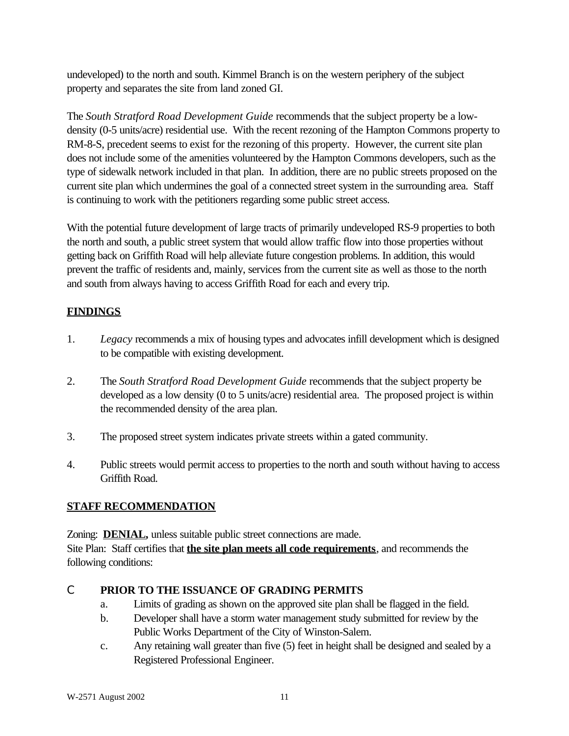undeveloped) to the north and south. Kimmel Branch is on the western periphery of the subject property and separates the site from land zoned GI.

The *South Stratford Road Development Guide* recommends that the subject property be a lowdensity (0-5 units/acre) residential use. With the recent rezoning of the Hampton Commons property to RM-8-S, precedent seems to exist for the rezoning of this property. However, the current site plan does not include some of the amenities volunteered by the Hampton Commons developers, such as the type of sidewalk network included in that plan. In addition, there are no public streets proposed on the current site plan which undermines the goal of a connected street system in the surrounding area. Staff is continuing to work with the petitioners regarding some public street access.

With the potential future development of large tracts of primarily undeveloped RS-9 properties to both the north and south, a public street system that would allow traffic flow into those properties without getting back on Griffith Road will help alleviate future congestion problems. In addition, this would prevent the traffic of residents and, mainly, services from the current site as well as those to the north and south from always having to access Griffith Road for each and every trip.

## **FINDINGS**

- 1. *Legacy* recommends a mix of housing types and advocates infill development which is designed to be compatible with existing development.
- 2. The *South Stratford Road Development Guide* recommends that the subject property be developed as a low density (0 to 5 units/acre) residential area. The proposed project is within the recommended density of the area plan.
- 3. The proposed street system indicates private streets within a gated community.
- 4. Public streets would permit access to properties to the north and south without having to access Griffith Road.

## **STAFF RECOMMENDATION**

Zoning: **DENIAL**, unless suitable public street connections are made. Site Plan: Staff certifies that **the site plan meets all code requirements**, and recommends the following conditions:

## C **PRIOR TO THE ISSUANCE OF GRADING PERMITS**

- a. Limits of grading as shown on the approved site plan shall be flagged in the field.
- b. Developer shall have a storm water management study submitted for review by the Public Works Department of the City of Winston-Salem.
- c. Any retaining wall greater than five (5) feet in height shall be designed and sealed by a Registered Professional Engineer.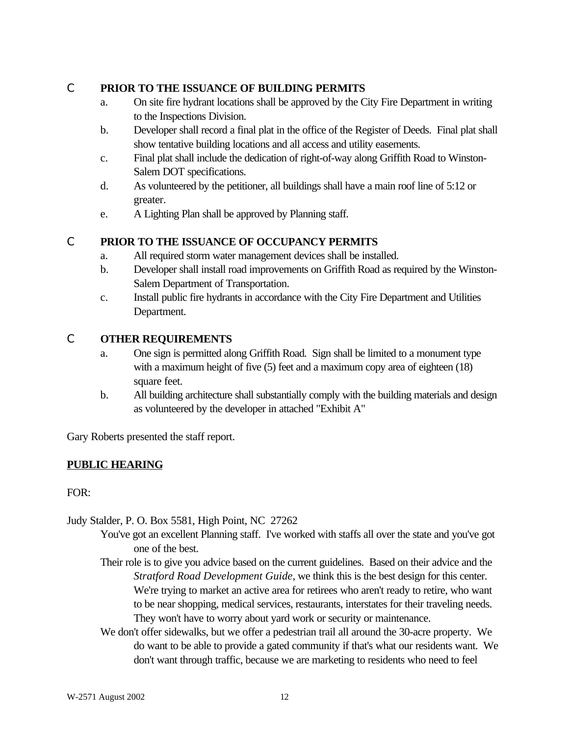## C **PRIOR TO THE ISSUANCE OF BUILDING PERMITS**

- a. On site fire hydrant locations shall be approved by the City Fire Department in writing to the Inspections Division.
- b. Developer shall record a final plat in the office of the Register of Deeds. Final plat shall show tentative building locations and all access and utility easements.
- c. Final plat shall include the dedication of right-of-way along Griffith Road to Winston-Salem DOT specifications.
- d. As volunteered by the petitioner, all buildings shall have a main roof line of 5:12 or greater.
- e. A Lighting Plan shall be approved by Planning staff.

# C **PRIOR TO THE ISSUANCE OF OCCUPANCY PERMITS**

- a. All required storm water management devices shall be installed.
- b. Developer shall install road improvements on Griffith Road as required by the Winston-Salem Department of Transportation.
- c. Install public fire hydrants in accordance with the City Fire Department and Utilities Department.

## C **OTHER REQUIREMENTS**

- a. One sign is permitted along Griffith Road. Sign shall be limited to a monument type with a maximum height of five (5) feet and a maximum copy area of eighteen (18) square feet.
- b. All building architecture shall substantially comply with the building materials and design as volunteered by the developer in attached "Exhibit A"

Gary Roberts presented the staff report.

# **PUBLIC HEARING**

FOR:

Judy Stalder, P. O. Box 5581, High Point, NC 27262

- You've got an excellent Planning staff. I've worked with staffs all over the state and you've got one of the best.
- Their role is to give you advice based on the current guidelines. Based on their advice and the *Stratford Road Development Guide*, we think this is the best design for this center. We're trying to market an active area for retirees who aren't ready to retire, who want to be near shopping, medical services, restaurants, interstates for their traveling needs. They won't have to worry about yard work or security or maintenance.
- We don't offer sidewalks, but we offer a pedestrian trail all around the 30-acre property. We do want to be able to provide a gated community if that's what our residents want. We don't want through traffic, because we are marketing to residents who need to feel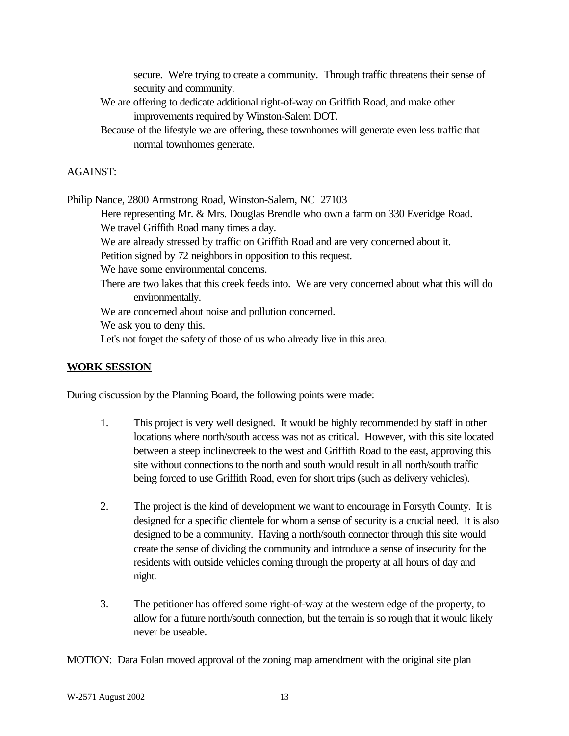secure. We're trying to create a community. Through traffic threatens their sense of security and community.

- We are offering to dedicate additional right-of-way on Griffith Road, and make other improvements required by Winston-Salem DOT.
- Because of the lifestyle we are offering, these townhomes will generate even less traffic that normal townhomes generate.

### AGAINST:

Philip Nance, 2800 Armstrong Road, Winston-Salem, NC 27103

Here representing Mr. & Mrs. Douglas Brendle who own a farm on 330 Everidge Road. We travel Griffith Road many times a day.

We are already stressed by traffic on Griffith Road and are very concerned about it.

Petition signed by 72 neighbors in opposition to this request.

We have some environmental concerns.

There are two lakes that this creek feeds into. We are very concerned about what this will do environmentally.

We are concerned about noise and pollution concerned.

We ask you to deny this.

Let's not forget the safety of those of us who already live in this area.

### **WORK SESSION**

During discussion by the Planning Board, the following points were made:

- 1. This project is very well designed. It would be highly recommended by staff in other locations where north/south access was not as critical. However, with this site located between a steep incline/creek to the west and Griffith Road to the east, approving this site without connections to the north and south would result in all north/south traffic being forced to use Griffith Road, even for short trips (such as delivery vehicles).
- 2. The project is the kind of development we want to encourage in Forsyth County. It is designed for a specific clientele for whom a sense of security is a crucial need. It is also designed to be a community. Having a north/south connector through this site would create the sense of dividing the community and introduce a sense of insecurity for the residents with outside vehicles coming through the property at all hours of day and night.
- 3. The petitioner has offered some right-of-way at the western edge of the property, to allow for a future north/south connection, but the terrain is so rough that it would likely never be useable.

MOTION: Dara Folan moved approval of the zoning map amendment with the original site plan